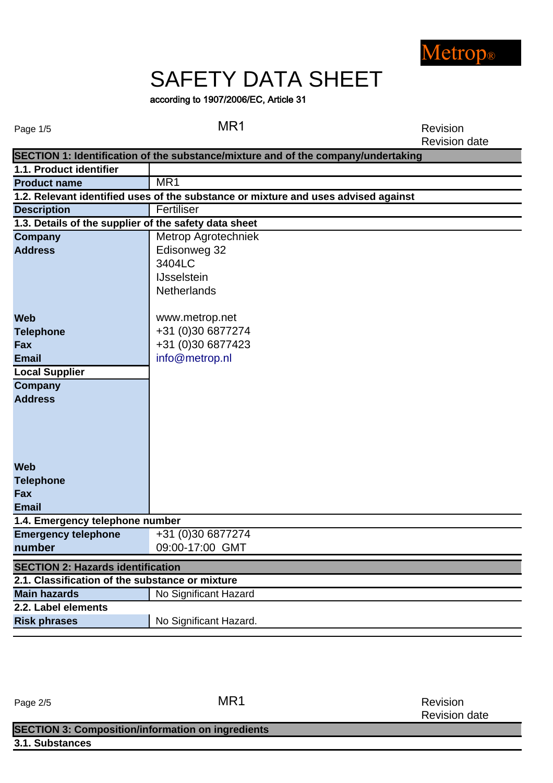

# SAFETY DATA SHEET

## according to 1907/2006/EC, Article 31

Page 1/5 and 2008 MR1 Revision Revision date

|                                                       | SECTION 1: Identification of the substance/mixture and of the company/undertaking  |
|-------------------------------------------------------|------------------------------------------------------------------------------------|
| 1.1. Product identifier                               |                                                                                    |
| <b>Product name</b>                                   | MR1                                                                                |
|                                                       | 1.2. Relevant identified uses of the substance or mixture and uses advised against |
| <b>Description</b>                                    | Fertiliser                                                                         |
| 1.3. Details of the supplier of the safety data sheet |                                                                                    |
| <b>Company</b>                                        | Metrop Agrotechniek                                                                |
| <b>Address</b>                                        | Edisonweg 32                                                                       |
|                                                       | 3404LC                                                                             |
|                                                       | <b>IJsselstein</b>                                                                 |
|                                                       | <b>Netherlands</b>                                                                 |
|                                                       |                                                                                    |
| <b>Web</b>                                            | www.metrop.net                                                                     |
| <b>Telephone</b>                                      | +31 (0)30 6877274                                                                  |
| <b>Fax</b>                                            | +31 (0)30 6877423                                                                  |
| <b>Email</b>                                          | info@metrop.nl                                                                     |
| <b>Local Supplier</b>                                 |                                                                                    |
| <b>Company</b>                                        |                                                                                    |
| <b>Address</b>                                        |                                                                                    |
|                                                       |                                                                                    |
|                                                       |                                                                                    |
|                                                       |                                                                                    |
|                                                       |                                                                                    |
| <b>Web</b>                                            |                                                                                    |
|                                                       |                                                                                    |
| <b>Telephone</b>                                      |                                                                                    |
| <b>Fax</b>                                            |                                                                                    |
| <b>Email</b>                                          |                                                                                    |
| 1.4. Emergency telephone number                       |                                                                                    |
| <b>Emergency telephone</b>                            | +31 (0)30 6877274                                                                  |
| number                                                | 09:00-17:00 GMT                                                                    |
| <b>SECTION 2: Hazards identification</b>              |                                                                                    |
| 2.1. Classification of the substance or mixture       |                                                                                    |
| <b>Main hazards</b>                                   | No Significant Hazard                                                              |
| 2.2. Label elements                                   |                                                                                    |
| <b>Risk phrases</b>                                   | No Significant Hazard.                                                             |

Page 2/5 MR1

Revision Revision date

## **3.1. Substances SECTION 3: Composition/information on ingredients**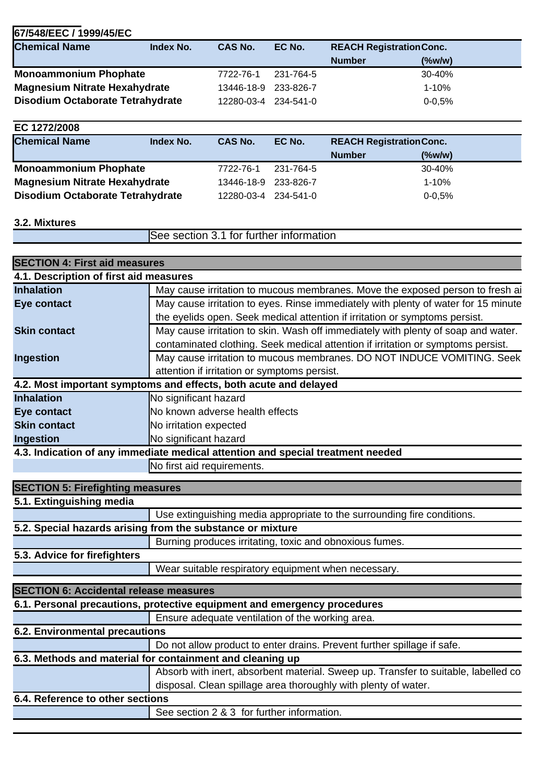| <b>Chemical Name</b>                    | Index No. | <b>CAS No.</b> | EC No.    | <b>REACH Registration Conc.</b> |            |  |
|-----------------------------------------|-----------|----------------|-----------|---------------------------------|------------|--|
|                                         |           |                |           | <b>Number</b>                   | (%w/w)     |  |
| <b>Monoammonium Phophate</b>            |           | 7722-76-1      | 231-764-5 |                                 | 30-40%     |  |
| <b>Magnesium Nitrate Hexahydrate</b>    |           | 13446-18-9     | 233-826-7 |                                 | 1-10%      |  |
| <b>Disodium Octaborate Tetrahydrate</b> |           | 12280-03-4     | 234-541-0 |                                 | $0 - 0.5%$ |  |

| EC 1272/2008                            |           |                      |           |                                 |            |  |
|-----------------------------------------|-----------|----------------------|-----------|---------------------------------|------------|--|
| <b>Chemical Name</b>                    | Index No. | CAS No.              | EC No.    | <b>REACH Registration Conc.</b> |            |  |
|                                         |           |                      |           | <b>Number</b>                   | (%wlw)     |  |
| <b>Monoammonium Phophate</b>            |           | 7722-76-1            | 231-764-5 |                                 | 30-40%     |  |
| <b>Magnesium Nitrate Hexahydrate</b>    |           | 13446-18-9           | 233-826-7 |                                 | 1-10%      |  |
| <b>Disodium Octaborate Tetrahydrate</b> |           | 12280-03-4 234-541-0 |           |                                 | $0 - 0.5%$ |  |

#### **3.2. Mixtures**

See section 3.1 for further information

| <b>SECTION 4: First aid measures</b>          |                                                                                    |
|-----------------------------------------------|------------------------------------------------------------------------------------|
| 4.1. Description of first aid measures        |                                                                                    |
| <b>Inhalation</b>                             | May cause irritation to mucous membranes. Move the exposed person to fresh ai      |
| <b>Eye contact</b>                            | May cause irritation to eyes. Rinse immediately with plenty of water for 15 minute |
|                                               | the eyelids open. Seek medical attention if irritation or symptoms persist.        |
| <b>Skin contact</b>                           | May cause irritation to skin. Wash off immediately with plenty of soap and water.  |
|                                               | contaminated clothing. Seek medical attention if irritation or symptoms persist.   |
| <b>Ingestion</b>                              | May cause irritation to mucous membranes. DO NOT INDUCE VOMITING. Seek             |
|                                               | attention if irritation or symptoms persist.                                       |
|                                               | 4.2. Most important symptoms and effects, both acute and delayed                   |
| <b>Inhalation</b>                             | No significant hazard                                                              |
| <b>Eye contact</b>                            | No known adverse health effects                                                    |
| <b>Skin contact</b>                           | No irritation expected                                                             |
| <b>Ingestion</b>                              | No significant hazard                                                              |
|                                               | 4.3. Indication of any immediate medical attention and special treatment needed    |
|                                               | No first aid requirements.                                                         |
|                                               |                                                                                    |
| <b>SECTION 5: Firefighting measures</b>       |                                                                                    |
| 5.1. Extinguishing media                      |                                                                                    |
|                                               | Use extinguishing media appropriate to the surrounding fire conditions.            |
|                                               | 5.2. Special hazards arising from the substance or mixture                         |
|                                               | Burning produces irritating, toxic and obnoxious fumes.                            |
| 5.3. Advice for firefighters                  |                                                                                    |
|                                               | Wear suitable respiratory equipment when necessary.                                |
| <b>SECTION 6: Accidental release measures</b> |                                                                                    |
|                                               | 6.1. Personal precautions, protective equipment and emergency procedures           |
|                                               | Ensure adequate ventilation of the working area.                                   |
| <b>6.2. Environmental precautions</b>         |                                                                                    |
|                                               | Do not allow product to enter drains. Prevent further spillage if safe.            |
|                                               | 6.3. Methods and material for containment and cleaning up                          |
|                                               | Absorb with inert, absorbent material. Sweep up. Transfer to suitable, labelled co |
|                                               | disposal. Clean spillage area thoroughly with plenty of water.                     |
| 6.4. Reference to other sections              |                                                                                    |
|                                               | See section 2 & 3 for further information.                                         |
|                                               |                                                                                    |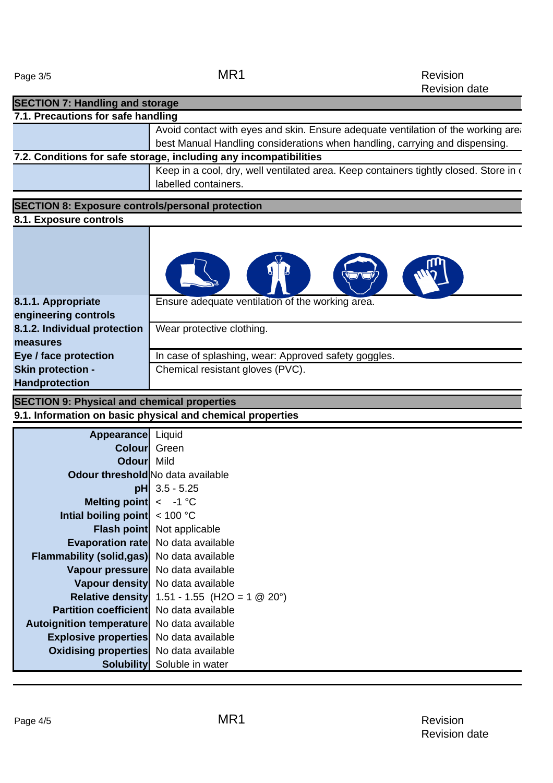| <b>SECTION 7: Handling and storage</b>                  |                                                                                                               |
|---------------------------------------------------------|---------------------------------------------------------------------------------------------------------------|
| 7.1. Precautions for safe handling                      |                                                                                                               |
|                                                         | Avoid contact with eyes and skin. Ensure adequate ventilation of the working area                             |
|                                                         | best Manual Handling considerations when handling, carrying and dispensing.                                   |
|                                                         | 7.2. Conditions for safe storage, including any incompatibilities                                             |
|                                                         | Keep in a cool, dry, well ventilated area. Keep containers tightly closed. Store in a<br>labelled containers. |
| <b>SECTION 8: Exposure controls/personal protection</b> |                                                                                                               |
| 8.1. Exposure controls                                  |                                                                                                               |
|                                                         |                                                                                                               |
| 8.1.1. Appropriate<br>engineering controls              | Ensure adequate ventilation of the working area.                                                              |
| 8.1.2. Individual protection<br>measures                | Wear protective clothing.                                                                                     |
| Eye / face protection                                   | In case of splashing, wear: Approved safety goggles.                                                          |
| Skin protection -<br><b>Handprotection</b>              | Chemical resistant gloves (PVC).                                                                              |
| <b>SECTION 9: Physical and chemical properties</b>      |                                                                                                               |

**9.1. Information on basic physical and chemical properties** 

| <b>Appearance</b>                        | Liquid                             |
|------------------------------------------|------------------------------------|
| Colourl                                  | Green                              |
| <b>Odourl Mild</b>                       |                                    |
| <b>Odour threshold</b> No data available |                                    |
| pH                                       | $3.5 - 5.25$                       |
| <b>Melting point</b>                     | $\leq -1$ °C                       |
| Intial boiling point                     | < 100 °C                           |
| <b>Flash point</b>                       | Not applicable                     |
| <b>Evaporation rate</b>                  | No data available                  |
| <b>Flammability (solid,gas)</b>          | No data available                  |
| Vapour pressure                          | No data available                  |
| <b>Vapour density</b>                    | No data available                  |
| <b>Relative density</b>                  | 1.51 - 1.55 (H2O = 1 @ 20°)        |
| <b>Partition coefficientl</b>            | No data available                  |
| <b>Autoignition temperature</b>          | No data available                  |
| <b>Explosive properties</b>              | No data available                  |
| <b>Oxidising properties</b>              | No data available                  |
|                                          | <b>Solubility</b> Soluble in water |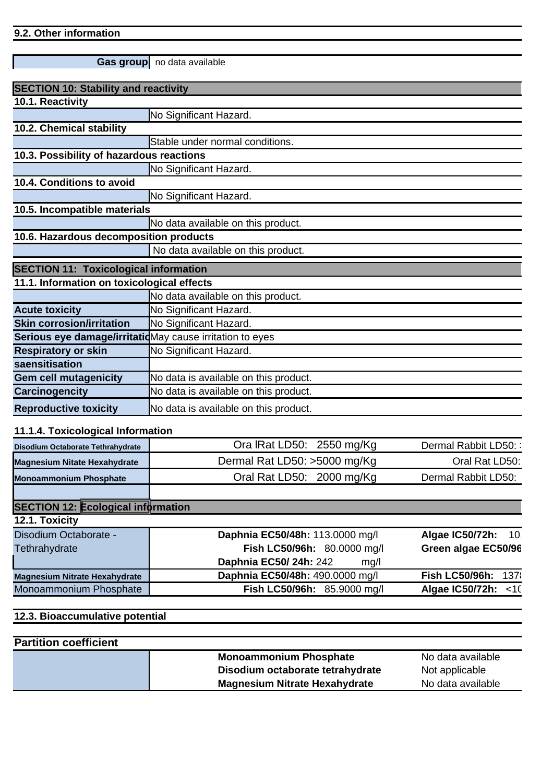#### **9.2. Other information**

|                                                          | Gas group no data available           |
|----------------------------------------------------------|---------------------------------------|
| <b>SECTION 10: Stability and reactivity</b>              |                                       |
| 10.1. Reactivity                                         |                                       |
|                                                          | No Significant Hazard.                |
| 10.2. Chemical stability                                 |                                       |
|                                                          | Stable under normal conditions.       |
| 10.3. Possibility of hazardous reactions                 |                                       |
|                                                          | No Significant Hazard.                |
| 10.4. Conditions to avoid                                |                                       |
|                                                          | No Significant Hazard.                |
| 10.5. Incompatible materials                             |                                       |
|                                                          | No data available on this product.    |
| 10.6. Hazardous decomposition products                   |                                       |
|                                                          | No data available on this product.    |
| <b>SECTION 11: Toxicological information</b>             |                                       |
| 11.1. Information on toxicological effects               |                                       |
|                                                          | No data available on this product.    |
| <b>Acute toxicity</b>                                    | No Significant Hazard.                |
| <b>Skin corrosion/irritation</b>                         | No Significant Hazard.                |
| Serious eye damage/irritatidMay cause irritation to eyes |                                       |
| <b>Respiratory or skin</b>                               | No Significant Hazard.                |
| saensitisation                                           |                                       |
| <b>Gem cell mutagenicity</b>                             | No data is available on this product. |
| Carcinogencity                                           | No data is available on this product. |
| <b>Reproductive toxicity</b>                             | No data is available on this product. |

## **11.1.4. Toxicological Information**

| Ora IRat LD50: 2550 mg/Kg             | Dermal Rabbit LD50::                      |
|---------------------------------------|-------------------------------------------|
| Dermal Rat LD50: >5000 mg/Kg          | Oral Rat LD50:                            |
| Oral Rat LD50: 2000 mg/Kg             | Dermal Rabbit LD50:                       |
|                                       |                                           |
|                                       |                                           |
|                                       |                                           |
| Daphnia EC50/48h: 113.0000 mg/l       | Algae IC50/72h: 10                        |
| Fish LC50/96h: 80.0000 mg/l           | Green algae EC50/96                       |
| Daphnia EC50/24h: 242<br>mq/l         |                                           |
| Daphnia EC50/48h: 490.0000 mg/l       | <b>Fish LC50/96h:</b><br>1378             |
| <b>Fish LC50/96h:</b><br>85.9000 mg/l | Algae IC50/72h:<br>$\leq 10$              |
|                                       | <b>SECTION 12: Ecological information</b> |

#### **12.3. Bioaccumulative potential**

## **Partition coefficient**

| <b>Monoammonium Phosphate</b>        | No data available |
|--------------------------------------|-------------------|
| Disodium octaborate tetrahydrate     | Not applicable    |
| <b>Magnesium Nitrate Hexahydrate</b> | No data available |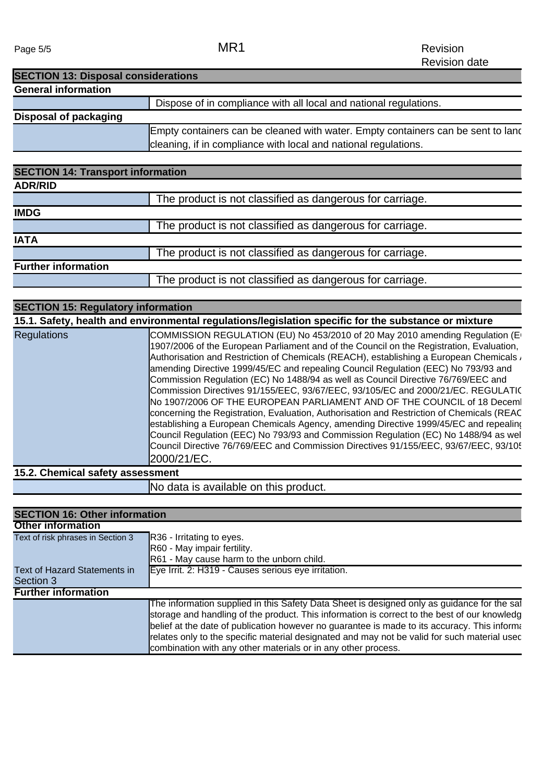Page 5/5 MR1

| <b>SECTION 13: Disposal considerations</b> |                                                                                  |
|--------------------------------------------|----------------------------------------------------------------------------------|
| <b>General information</b>                 |                                                                                  |
|                                            | Dispose of in compliance with all local and national regulations.                |
| Disposal of packaging                      |                                                                                  |
|                                            | Empty containers can be cleaned with water. Empty containers can be sent to land |
|                                            | cleaning, if in compliance with local and national regulations.                  |

| <b>SECTION 14: Transport information</b> |                                                          |  |
|------------------------------------------|----------------------------------------------------------|--|
| <b>ADR/RID</b>                           |                                                          |  |
|                                          | The product is not classified as dangerous for carriage. |  |
| <b>IMDG</b>                              |                                                          |  |
|                                          | The product is not classified as dangerous for carriage. |  |
| <b>IATA</b>                              |                                                          |  |
|                                          | The product is not classified as dangerous for carriage. |  |
| <b>Further information</b>               |                                                          |  |
|                                          | The product is not classified as dangerous for carriage. |  |
|                                          |                                                          |  |

|                    | 15.1. Safety, health and environmental regulations/legislation specific for the substance or mixture                                                                                                                                                                                                                                                                                                                                                                                                                                                                                                                                                                                                                                                                                                                                                                                                                                                                                                                     |
|--------------------|--------------------------------------------------------------------------------------------------------------------------------------------------------------------------------------------------------------------------------------------------------------------------------------------------------------------------------------------------------------------------------------------------------------------------------------------------------------------------------------------------------------------------------------------------------------------------------------------------------------------------------------------------------------------------------------------------------------------------------------------------------------------------------------------------------------------------------------------------------------------------------------------------------------------------------------------------------------------------------------------------------------------------|
| <b>Regulations</b> | COMMISSION REGULATION (EU) No 453/2010 of 20 May 2010 amending Regulation (E<br>1907/2006 of the European Parliament and of the Council on the Registration, Evaluation,<br>Authorisation and Restriction of Chemicals (REACH), establishing a European Chemicals $\overline{\phantom{a}}$<br>amending Directive 1999/45/EC and repealing Council Regulation (EEC) No 793/93 and<br>Commission Regulation (EC) No 1488/94 as well as Council Directive 76/769/EEC and<br>Commission Directives 91/155/EEC, 93/67/EEC, 93/105/EC and 2000/21/EC. REGULATIC<br>No 1907/2006 OF THE EUROPEAN PARLIAMENT AND OF THE COUNCIL of 18 Decemi<br>concerning the Registration, Evaluation, Authorisation and Restriction of Chemicals (REAC<br>establishing a European Chemicals Agency, amending Directive 1999/45/EC and repealing<br>Council Regulation (EEC) No 793/93 and Commission Regulation (EC) No 1488/94 as wel<br>Council Directive 76/769/EEC and Commission Directives 91/155/EEC, 93/67/EEC, 93/10!<br>2000/21/EC. |

**15.2. Chemical safety assessment**

No data is available on this product.

| <b>SECTION 16: Other information</b> |                                                                                                                                                                                                                                                                                                                                                                                                                                                              |
|--------------------------------------|--------------------------------------------------------------------------------------------------------------------------------------------------------------------------------------------------------------------------------------------------------------------------------------------------------------------------------------------------------------------------------------------------------------------------------------------------------------|
| <b>Other information</b>             |                                                                                                                                                                                                                                                                                                                                                                                                                                                              |
| Text of risk phrases in Section 3    | R36 - Irritating to eyes.                                                                                                                                                                                                                                                                                                                                                                                                                                    |
|                                      | R60 - May impair fertility.                                                                                                                                                                                                                                                                                                                                                                                                                                  |
|                                      | R61 - May cause harm to the unborn child.                                                                                                                                                                                                                                                                                                                                                                                                                    |
| Text of Hazard Statements in         | Eye Irrit. 2: H319 - Causes serious eye irritation.                                                                                                                                                                                                                                                                                                                                                                                                          |
| Section 3                            |                                                                                                                                                                                                                                                                                                                                                                                                                                                              |
| <b>Further information</b>           |                                                                                                                                                                                                                                                                                                                                                                                                                                                              |
|                                      | The information supplied in this Safety Data Sheet is designed only as guidance for the saf<br>storage and handling of the product. This information is correct to the best of our knowledg<br>belief at the date of publication however no guarantee is made to its accuracy. This informa<br>relates only to the specific material designated and may not be valid for such material used<br>combination with any other materials or in any other process. |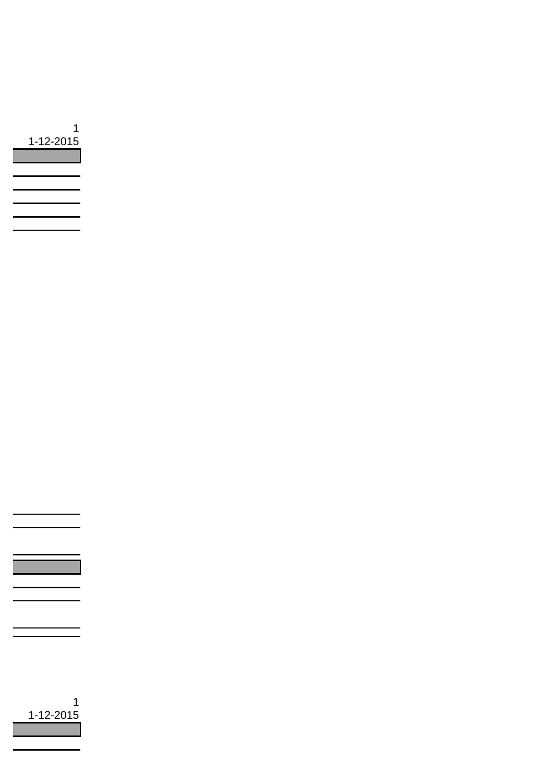

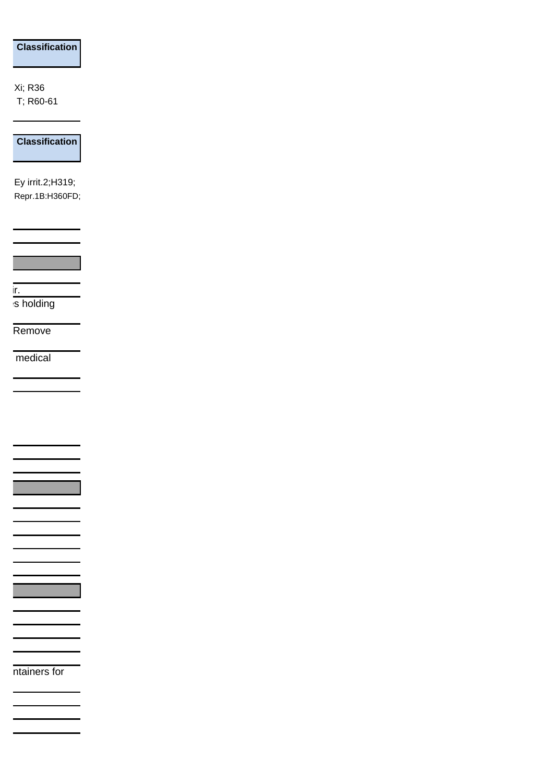## **Classification**

Xi; R36 T; R60-61

**Classification**

Ey irrit.2;H319; Repr.1B:H360FD;

 $\blacksquare$  ir. s holding

Remove

medical

ntainers for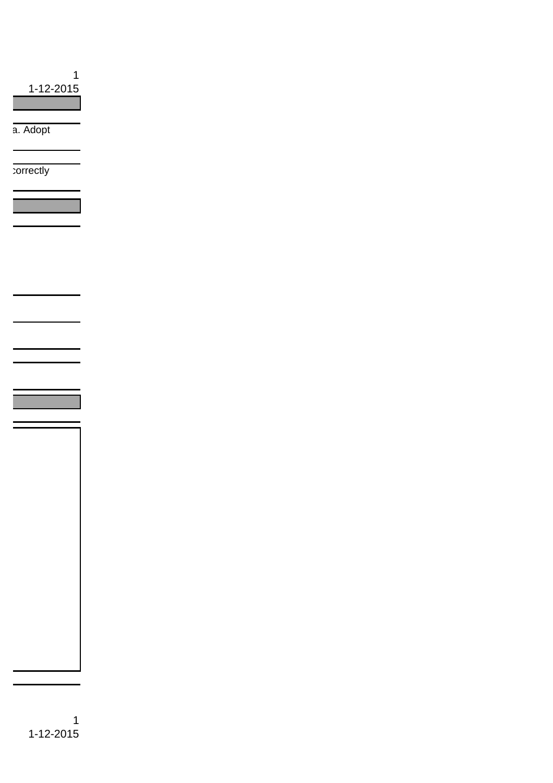1 1-12-2015

a. Adopt

correctly

1 1-12-2015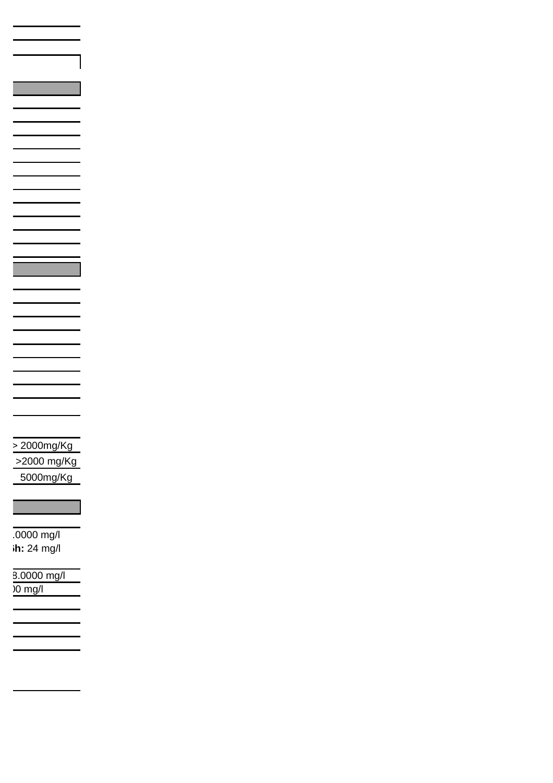>2000 mg/Kg  $\geq 2000$ mg/Kg 5000mg/Kg

 10.0000 mg/l **ih:** 24 mg/l

8.0000 mg/l <100 mg/l